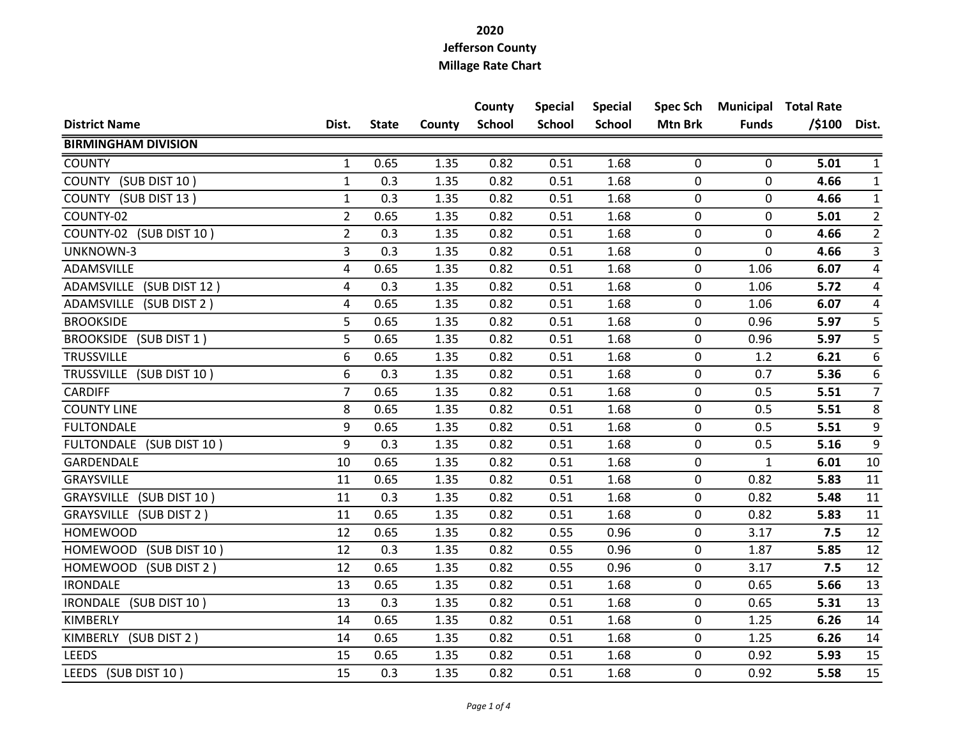|                                 |                         |              |        | County        | <b>Special</b> | <b>Special</b> | <b>Spec Sch</b> |              | <b>Municipal Total Rate</b> |                  |
|---------------------------------|-------------------------|--------------|--------|---------------|----------------|----------------|-----------------|--------------|-----------------------------|------------------|
| <b>District Name</b>            | Dist.                   | <b>State</b> | County | <b>School</b> | <b>School</b>  | <b>School</b>  | <b>Mtn Brk</b>  | <b>Funds</b> | $/$ \$100                   | Dist.            |
| <b>BIRMINGHAM DIVISION</b>      |                         |              |        |               |                |                |                 |              |                             |                  |
| <b>COUNTY</b>                   | 1                       | 0.65         | 1.35   | 0.82          | 0.51           | 1.68           | 0               | 0            | 5.01                        | $\mathbf{1}$     |
| COUNTY (SUB DIST 10)            | $\mathbf{1}$            | 0.3          | 1.35   | 0.82          | 0.51           | 1.68           | 0               | 0            | 4.66                        | $\mathbf{1}$     |
| COUNTY (SUB DIST 13)            | $\mathbf{1}$            | 0.3          | 1.35   | 0.82          | 0.51           | 1.68           | 0               | 0            | 4.66                        | $\mathbf{1}$     |
| COUNTY-02                       | $\overline{2}$          | 0.65         | 1.35   | 0.82          | 0.51           | 1.68           | $\pmb{0}$       | 0            | 5.01                        | $\overline{2}$   |
| COUNTY-02 (SUB DIST 10)         | $\overline{2}$          | 0.3          | 1.35   | 0.82          | 0.51           | 1.68           | $\mathbf 0$     | 0            | 4.66                        | $\overline{2}$   |
| UNKNOWN-3                       | 3                       | 0.3          | 1.35   | 0.82          | 0.51           | 1.68           | $\mathbf 0$     | 0            | 4.66                        | $\mathbf{3}$     |
| ADAMSVILLE                      | 4                       | 0.65         | 1.35   | 0.82          | 0.51           | 1.68           | 0               | 1.06         | 6.07                        | 4                |
| ADAMSVILLE (SUB DIST 12)        | $\overline{\mathbf{4}}$ | 0.3          | 1.35   | 0.82          | 0.51           | 1.68           | $\pmb{0}$       | 1.06         | 5.72                        | $\overline{4}$   |
| ADAMSVILLE (SUB DIST 2)         | 4                       | 0.65         | 1.35   | 0.82          | 0.51           | 1.68           | $\mathbf 0$     | 1.06         | 6.07                        | $\overline{4}$   |
| <b>BROOKSIDE</b>                | 5                       | 0.65         | 1.35   | 0.82          | 0.51           | 1.68           | 0               | 0.96         | 5.97                        | 5                |
| BROOKSIDE (SUB DIST 1)          | 5                       | 0.65         | 1.35   | 0.82          | 0.51           | 1.68           | 0               | 0.96         | 5.97                        | 5                |
| <b>TRUSSVILLE</b>               | 6                       | 0.65         | 1.35   | 0.82          | 0.51           | 1.68           | 0               | 1.2          | 6.21                        | $\boldsymbol{6}$ |
| TRUSSVILLE (SUB DIST 10)        | 6                       | 0.3          | 1.35   | 0.82          | 0.51           | 1.68           | 0               | 0.7          | 5.36                        | $\boldsymbol{6}$ |
| <b>CARDIFF</b>                  | $\overline{7}$          | 0.65         | 1.35   | 0.82          | 0.51           | 1.68           | 0               | 0.5          | 5.51                        | $\overline{7}$   |
| <b>COUNTY LINE</b>              | 8                       | 0.65         | 1.35   | 0.82          | 0.51           | 1.68           | 0               | 0.5          | 5.51                        | $\bf 8$          |
| <b>FULTONDALE</b>               | 9                       | 0.65         | 1.35   | 0.82          | 0.51           | 1.68           | 0               | 0.5          | 5.51                        | $\boldsymbol{9}$ |
| FULTONDALE (SUB DIST 10)        | 9                       | 0.3          | 1.35   | 0.82          | 0.51           | 1.68           | 0               | 0.5          | 5.16                        | 9                |
| GARDENDALE                      | 10                      | 0.65         | 1.35   | 0.82          | 0.51           | 1.68           | 0               | $\mathbf{1}$ | 6.01                        | 10               |
| GRAYSVILLE                      | 11                      | 0.65         | 1.35   | 0.82          | 0.51           | 1.68           | $\mathbf 0$     | 0.82         | 5.83                        | 11               |
| GRAYSVILLE (SUB DIST 10)        | 11                      | 0.3          | 1.35   | 0.82          | 0.51           | 1.68           | $\mathbf 0$     | 0.82         | 5.48                        | 11               |
| GRAYSVILLE (SUB DIST 2)         | 11                      | 0.65         | 1.35   | 0.82          | 0.51           | 1.68           | 0               | 0.82         | 5.83                        | 11               |
| <b>HOMEWOOD</b>                 | 12                      | 0.65         | 1.35   | 0.82          | 0.55           | 0.96           | 0               | 3.17         | 7.5                         | 12               |
| HOMEWOOD<br>(SUB DIST 10)       | 12                      | 0.3          | 1.35   | 0.82          | 0.55           | 0.96           | 0               | 1.87         | 5.85                        | $12\,$           |
| <b>HOMEWOOD</b><br>(SUB DIST 2) | 12                      | 0.65         | 1.35   | 0.82          | 0.55           | 0.96           | 0               | 3.17         | 7.5                         | 12               |
| <b>IRONDALE</b>                 | 13                      | 0.65         | 1.35   | 0.82          | 0.51           | 1.68           | 0               | 0.65         | 5.66                        | 13               |
| IRONDALE (SUB DIST 10)          | 13                      | 0.3          | 1.35   | 0.82          | 0.51           | 1.68           | 0               | 0.65         | 5.31                        | 13               |
| KIMBERLY                        | 14                      | 0.65         | 1.35   | 0.82          | 0.51           | 1.68           | $\pmb{0}$       | 1.25         | 6.26                        | 14               |
| KIMBERLY (SUB DIST 2)           | 14                      | 0.65         | 1.35   | 0.82          | 0.51           | 1.68           | 0               | 1.25         | 6.26                        | 14               |
| <b>LEEDS</b>                    | 15                      | 0.65         | 1.35   | 0.82          | 0.51           | 1.68           | 0               | 0.92         | 5.93                        | 15               |
| LEEDS (SUB DIST 10)             | 15                      | 0.3          | 1.35   | 0.82          | 0.51           | 1.68           | 0               | 0.92         | 5.58                        | 15               |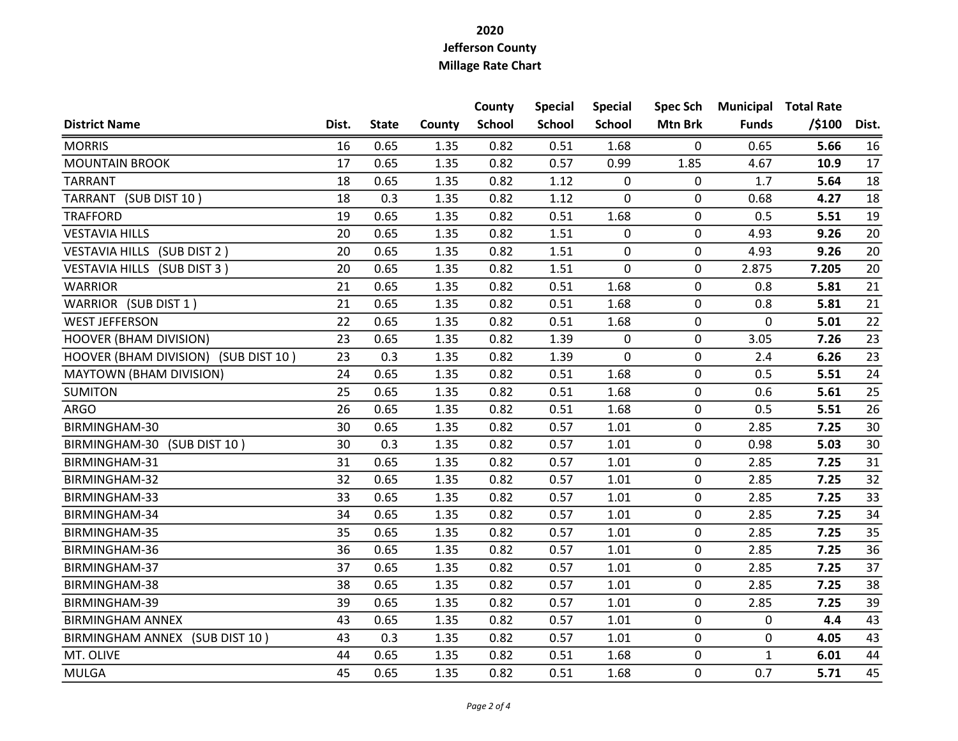|                                      |       |              |        | County        | <b>Special</b> | <b>Special</b> | <b>Spec Sch</b> |              | <b>Municipal Total Rate</b> |                 |
|--------------------------------------|-------|--------------|--------|---------------|----------------|----------------|-----------------|--------------|-----------------------------|-----------------|
| <b>District Name</b>                 | Dist. | <b>State</b> | County | <b>School</b> | <b>School</b>  | <b>School</b>  | <b>Mtn Brk</b>  | <b>Funds</b> | $/$ \$100                   | Dist.           |
| <b>MORRIS</b>                        | 16    | 0.65         | 1.35   | 0.82          | 0.51           | 1.68           | 0               | 0.65         | 5.66                        | 16              |
| <b>MOUNTAIN BROOK</b>                | 17    | 0.65         | 1.35   | 0.82          | 0.57           | 0.99           | 1.85            | 4.67         | 10.9                        | 17              |
| <b>TARRANT</b>                       | 18    | 0.65         | 1.35   | 0.82          | 1.12           | 0              | 0               | 1.7          | 5.64                        | 18              |
| TARRANT (SUB DIST 10)                | 18    | 0.3          | 1.35   | 0.82          | 1.12           | 0              | $\mathbf 0$     | 0.68         | 4.27                        | 18              |
| <b>TRAFFORD</b>                      | 19    | 0.65         | 1.35   | 0.82          | 0.51           | 1.68           | 0               | 0.5          | 5.51                        | 19              |
| <b>VESTAVIA HILLS</b>                | 20    | 0.65         | 1.35   | 0.82          | 1.51           | 0              | 0               | 4.93         | 9.26                        | 20              |
| VESTAVIA HILLS (SUB DIST 2)          | 20    | 0.65         | 1.35   | 0.82          | 1.51           | 0              | 0               | 4.93         | 9.26                        | 20              |
| VESTAVIA HILLS (SUB DIST 3)          | 20    | 0.65         | 1.35   | 0.82          | 1.51           | 0              | $\mathbf 0$     | 2.875        | 7.205                       | 20              |
| <b>WARRIOR</b>                       | 21    | 0.65         | 1.35   | 0.82          | 0.51           | 1.68           | 0               | 0.8          | 5.81                        | 21              |
| WARRIOR (SUB DIST 1)                 | 21    | 0.65         | 1.35   | 0.82          | 0.51           | 1.68           | 0               | 0.8          | 5.81                        | 21              |
| <b>WEST JEFFERSON</b>                | 22    | 0.65         | 1.35   | 0.82          | 0.51           | 1.68           | 0               | 0            | 5.01                        | 22              |
| <b>HOOVER (BHAM DIVISION)</b>        | 23    | 0.65         | 1.35   | 0.82          | 1.39           | 0              | $\mathbf 0$     | 3.05         | 7.26                        | 23              |
| HOOVER (BHAM DIVISION) (SUB DIST 10) | 23    | 0.3          | 1.35   | 0.82          | 1.39           | 0              | 0               | 2.4          | 6.26                        | 23              |
| <b>MAYTOWN (BHAM DIVISION)</b>       | 24    | 0.65         | 1.35   | 0.82          | 0.51           | 1.68           | $\mathbf 0$     | 0.5          | 5.51                        | 24              |
| <b>SUMITON</b>                       | 25    | 0.65         | 1.35   | 0.82          | 0.51           | 1.68           | $\mathbf 0$     | 0.6          | 5.61                        | 25              |
| <b>ARGO</b>                          | 26    | 0.65         | 1.35   | 0.82          | 0.51           | 1.68           | 0               | 0.5          | 5.51                        | 26              |
| BIRMINGHAM-30                        | 30    | 0.65         | 1.35   | 0.82          | 0.57           | 1.01           | $\mathbf 0$     | 2.85         | 7.25                        | 30              |
| BIRMINGHAM-30<br>(SUB DIST 10)       | 30    | 0.3          | 1.35   | 0.82          | 0.57           | 1.01           | 0               | 0.98         | 5.03                        | 30              |
| BIRMINGHAM-31                        | 31    | 0.65         | 1.35   | 0.82          | 0.57           | 1.01           | 0               | 2.85         | 7.25                        | 31              |
| BIRMINGHAM-32                        | 32    | 0.65         | 1.35   | 0.82          | 0.57           | 1.01           | 0               | 2.85         | 7.25                        | 32              |
| BIRMINGHAM-33                        | 33    | 0.65         | 1.35   | 0.82          | 0.57           | 1.01           | $\pmb{0}$       | 2.85         | 7.25                        | 33              |
| BIRMINGHAM-34                        | 34    | 0.65         | 1.35   | 0.82          | 0.57           | 1.01           | 0               | 2.85         | 7.25                        | 34              |
| BIRMINGHAM-35                        | 35    | 0.65         | 1.35   | 0.82          | 0.57           | 1.01           | 0               | 2.85         | 7.25                        | 35              |
| BIRMINGHAM-36                        | 36    | 0.65         | 1.35   | 0.82          | 0.57           | 1.01           | 0               | 2.85         | 7.25                        | 36              |
| BIRMINGHAM-37                        | 37    | 0.65         | 1.35   | 0.82          | 0.57           | 1.01           | 0               | 2.85         | 7.25                        | $\overline{37}$ |
| BIRMINGHAM-38                        | 38    | 0.65         | 1.35   | 0.82          | 0.57           | 1.01           | 0               | 2.85         | 7.25                        | 38              |
| BIRMINGHAM-39                        | 39    | 0.65         | 1.35   | 0.82          | 0.57           | 1.01           | 0               | 2.85         | 7.25                        | 39              |
| <b>BIRMINGHAM ANNEX</b>              | 43    | 0.65         | 1.35   | 0.82          | 0.57           | 1.01           | 0               | 0            | 4.4                         | 43              |
| BIRMINGHAM ANNEX (SUB DIST 10)       | 43    | 0.3          | 1.35   | 0.82          | 0.57           | 1.01           | 0               | 0            | 4.05                        | 43              |
| MT. OLIVE                            | 44    | 0.65         | 1.35   | 0.82          | 0.51           | 1.68           | 0               | $\mathbf{1}$ | 6.01                        | 44              |
| <b>MULGA</b>                         | 45    | 0.65         | 1.35   | 0.82          | 0.51           | 1.68           | 0               | 0.7          | 5.71                        | 45              |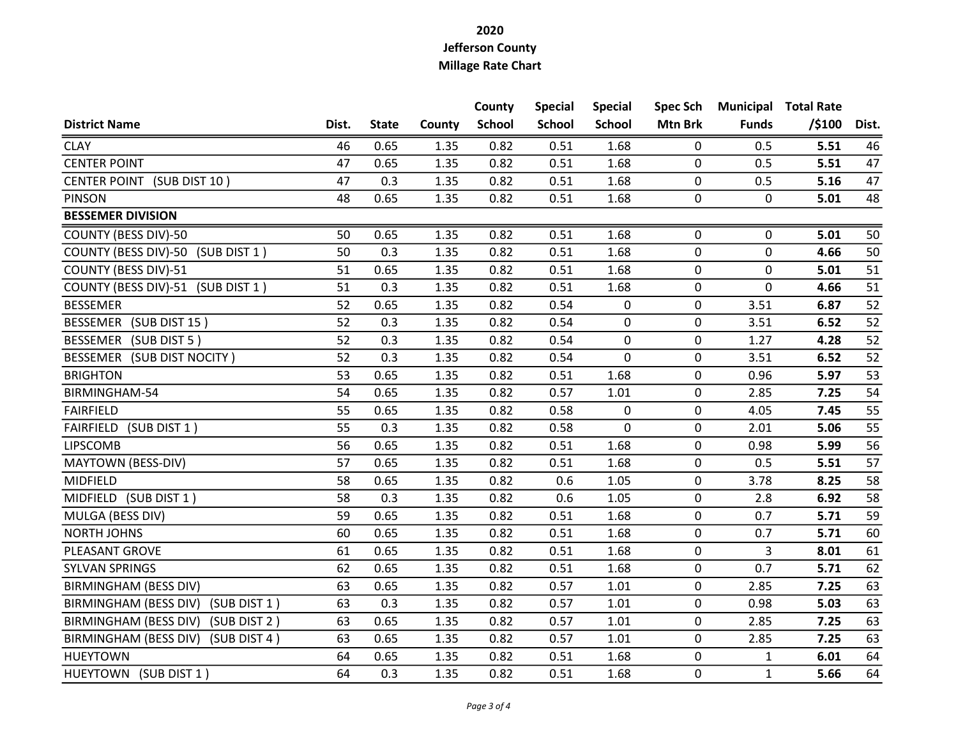|                                       |       |              |        | County        | <b>Special</b> | <b>Special</b> | <b>Spec Sch</b> |              | <b>Municipal Total Rate</b> |       |
|---------------------------------------|-------|--------------|--------|---------------|----------------|----------------|-----------------|--------------|-----------------------------|-------|
| <b>District Name</b>                  | Dist. | <b>State</b> | County | <b>School</b> | <b>School</b>  | <b>School</b>  | <b>Mtn Brk</b>  | <b>Funds</b> | $/$ \$100                   | Dist. |
| <b>CLAY</b>                           | 46    | 0.65         | 1.35   | 0.82          | 0.51           | 1.68           | 0               | 0.5          | 5.51                        | 46    |
| <b>CENTER POINT</b>                   | 47    | 0.65         | 1.35   | 0.82          | 0.51           | 1.68           | 0               | 0.5          | 5.51                        | 47    |
| CENTER POINT (SUB DIST 10)            | 47    | 0.3          | 1.35   | 0.82          | 0.51           | 1.68           | 0               | 0.5          | 5.16                        | 47    |
| <b>PINSON</b>                         | 48    | 0.65         | 1.35   | 0.82          | 0.51           | 1.68           | $\mathbf 0$     | 0            | 5.01                        | 48    |
| <b>BESSEMER DIVISION</b>              |       |              |        |               |                |                |                 |              |                             |       |
| COUNTY (BESS DIV)-50                  | 50    | 0.65         | 1.35   | 0.82          | 0.51           | 1.68           | 0               | 0            | 5.01                        | 50    |
| COUNTY (BESS DIV)-50 (SUB DIST 1)     | 50    | 0.3          | 1.35   | 0.82          | 0.51           | 1.68           | $\pmb{0}$       | 0            | 4.66                        | 50    |
| COUNTY (BESS DIV)-51                  | 51    | 0.65         | 1.35   | 0.82          | 0.51           | 1.68           | 0               | 0            | 5.01                        | 51    |
| COUNTY (BESS DIV)-51 (SUB DIST 1)     | 51    | 0.3          | 1.35   | 0.82          | 0.51           | 1.68           | $\pmb{0}$       | 0            | 4.66                        | 51    |
| <b>BESSEMER</b>                       | 52    | 0.65         | 1.35   | 0.82          | 0.54           | 0              | $\mathbf 0$     | 3.51         | 6.87                        | 52    |
| BESSEMER (SUB DIST 15)                | 52    | 0.3          | 1.35   | 0.82          | 0.54           | 0              | 0               | 3.51         | 6.52                        | 52    |
| BESSEMER (SUB DIST 5)                 | 52    | 0.3          | 1.35   | 0.82          | 0.54           | 0              | $\mathbf 0$     | 1.27         | 4.28                        | 52    |
| BESSEMER (SUB DIST NOCITY)            | 52    | 0.3          | 1.35   | 0.82          | 0.54           | 0              | $\pmb{0}$       | 3.51         | 6.52                        | 52    |
| <b>BRIGHTON</b>                       | 53    | 0.65         | 1.35   | 0.82          | 0.51           | 1.68           | 0               | 0.96         | 5.97                        | 53    |
| BIRMINGHAM-54                         | 54    | 0.65         | 1.35   | 0.82          | 0.57           | 1.01           | 0               | 2.85         | 7.25                        | 54    |
| <b>FAIRFIELD</b>                      | 55    | 0.65         | 1.35   | 0.82          | 0.58           | 0              | 0               | 4.05         | 7.45                        | 55    |
| FAIRFIELD (SUB DIST 1)                | 55    | 0.3          | 1.35   | 0.82          | 0.58           | 0              | 0               | 2.01         | 5.06                        | 55    |
| <b>LIPSCOMB</b>                       | 56    | 0.65         | 1.35   | 0.82          | 0.51           | 1.68           | 0               | 0.98         | 5.99                        | 56    |
| MAYTOWN (BESS-DIV)                    | 57    | 0.65         | 1.35   | 0.82          | 0.51           | 1.68           | 0               | 0.5          | 5.51                        | 57    |
| MIDFIELD                              | 58    | 0.65         | 1.35   | 0.82          | 0.6            | 1.05           | 0               | 3.78         | 8.25                        | 58    |
| MIDFIELD (SUB DIST 1)                 | 58    | 0.3          | 1.35   | 0.82          | 0.6            | 1.05           | $\mathbf 0$     | 2.8          | 6.92                        | 58    |
| MULGA (BESS DIV)                      | 59    | 0.65         | 1.35   | 0.82          | 0.51           | 1.68           | 0               | 0.7          | 5.71                        | 59    |
| <b>NORTH JOHNS</b>                    | 60    | 0.65         | 1.35   | 0.82          | 0.51           | 1.68           | 0               | 0.7          | 5.71                        | 60    |
| PLEASANT GROVE                        | 61    | 0.65         | 1.35   | 0.82          | 0.51           | 1.68           | 0               | 3            | 8.01                        | 61    |
| <b>SYLVAN SPRINGS</b>                 | 62    | 0.65         | 1.35   | 0.82          | 0.51           | 1.68           | 0               | 0.7          | 5.71                        | 62    |
| BIRMINGHAM (BESS DIV)                 | 63    | 0.65         | 1.35   | 0.82          | 0.57           | 1.01           | 0               | 2.85         | 7.25                        | 63    |
| BIRMINGHAM (BESS DIV)<br>(SUB DIST 1) | 63    | 0.3          | 1.35   | 0.82          | 0.57           | 1.01           | 0               | 0.98         | 5.03                        | 63    |
| BIRMINGHAM (BESS DIV)<br>(SUB DIST 2) | 63    | 0.65         | 1.35   | 0.82          | 0.57           | 1.01           | $\pmb{0}$       | 2.85         | 7.25                        | 63    |
| BIRMINGHAM (BESS DIV)<br>(SUB DIST 4) | 63    | 0.65         | 1.35   | 0.82          | 0.57           | 1.01           | 0               | 2.85         | 7.25                        | 63    |
| <b>HUEYTOWN</b>                       | 64    | 0.65         | 1.35   | 0.82          | 0.51           | 1.68           | $\mathbf 0$     | $\mathbf{1}$ | 6.01                        | 64    |
| HUEYTOWN (SUB DIST 1)                 | 64    | 0.3          | 1.35   | 0.82          | 0.51           | 1.68           | 0               | $\mathbf{1}$ | 5.66                        | 64    |